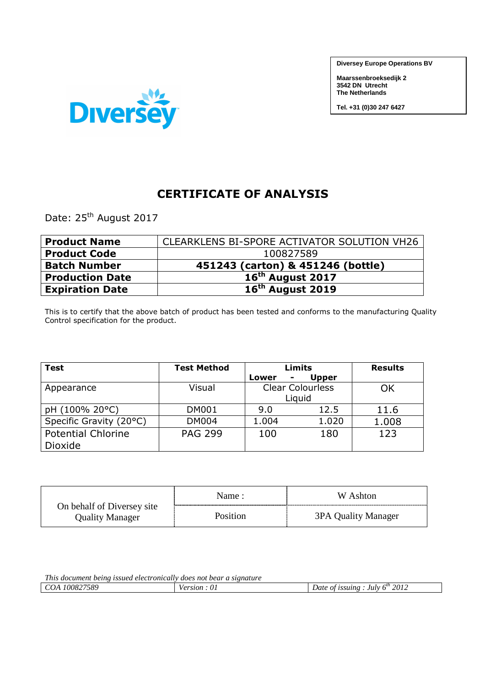**Diversey Europe Operations BV**

**Maarssenbroeksedijk 2 3542 DN Utrecht The Netherlands** 

**Tel. +31 (0)30 247 6427**



## **CERTIFICATE OF ANALYSIS**

Date: 25<sup>th</sup> August 2017

| <b>Product Name</b>    | CLEARKLENS BI-SPORE ACTIVATOR SOLUTION VH26 |
|------------------------|---------------------------------------------|
| <b>Product Code</b>    | 100827589                                   |
| <b>Batch Number</b>    | 451243 (carton) & 451246 (bottle)           |
| <b>Production Date</b> | 16 <sup>th</sup> August 2017                |
| <b>Expiration Date</b> | $16th$ August 2019                          |

This is to certify that the above batch of product has been tested and conforms to the manufacturing Quality Control specification for the product.

| <b>Test</b>               | <b>Test Method</b> |            | Limits                  | <b>Results</b> |
|---------------------------|--------------------|------------|-------------------------|----------------|
|                           |                    | Lower<br>۰ | <b>Upper</b>            |                |
| Appearance                | Visual             |            | <b>Clear Colourless</b> | ΟK             |
|                           |                    |            | Liquid                  |                |
| pH (100% 20°C)            | <b>DM001</b>       | 9.0        | 12.5                    | 11.6           |
| Specific Gravity (20°C)   | <b>DM004</b>       | 1.004      | 1.020                   | 1.008          |
| <b>Potential Chlorine</b> | <b>PAG 299</b>     | 100        | 180                     | 123            |
| Dioxide                   |                    |            |                         |                |

|                                               | Name:           | W Ashton            |
|-----------------------------------------------|-----------------|---------------------|
| On behalf of Diversey site<br>Quality Manager | <b>Position</b> | 3PA Quality Manager |

| This document being issued electronically does not bear a signature |              |                                      |  |
|---------------------------------------------------------------------|--------------|--------------------------------------|--|
| <i>COA 100827589</i>                                                | Version : 01 | Date of issuing : July $6^{th}$ 2012 |  |